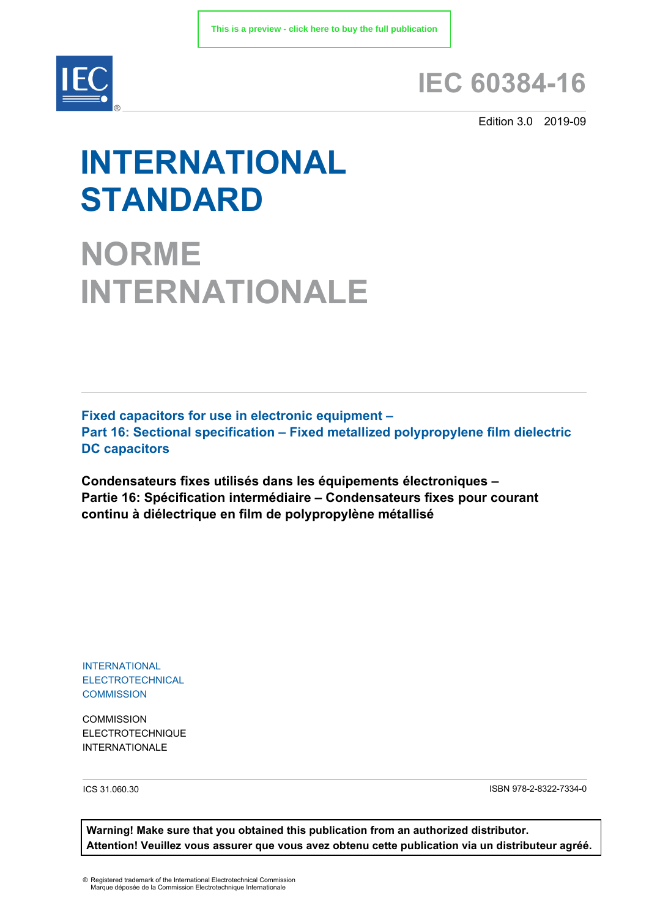

# **IEC 60384-16**

Edition 3.0 2019-09

# **INTERNATIONAL STANDARD**

**NORME INTERNATIONALE**

**Fixed capacitors for use in electronic equipment – Part 16: Sectional specification – Fixed metallized polypropylene film dielectric DC capacitors**

**Condensateurs fixes utilisés dans les équipements électroniques – Partie 16: Spécification intermédiaire – Condensateurs fixes pour courant continu à diélectrique en film de polypropylène métallisé**

INTERNATIONAL ELECTROTECHNICAL **COMMISSION** 

**COMMISSION** ELECTROTECHNIQUE INTERNATIONALE

ICS 31.060.30 ISBN 978-2-8322-7334-0

**Warning! Make sure that you obtained this publication from an authorized distributor. Attention! Veuillez vous assurer que vous avez obtenu cette publication via un distributeur agréé.**

® Registered trademark of the International Electrotechnical Commission Marque déposée de la Commission Electrotechnique Internationale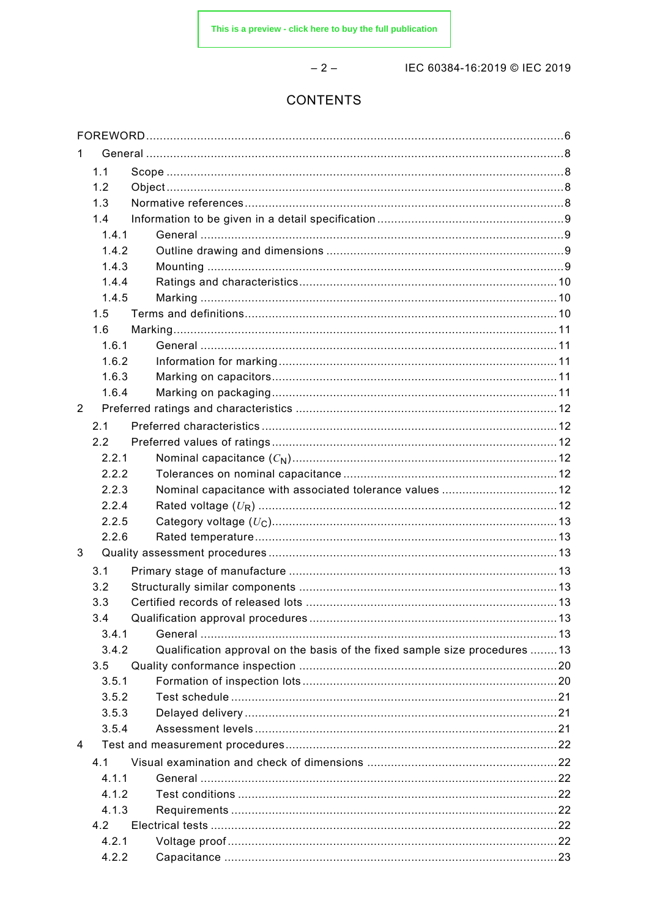$-2-$ 

IEC 60384-16:2019 © IEC 2019

# CONTENTS

| 1.             |       |                                                                            |  |
|----------------|-------|----------------------------------------------------------------------------|--|
|                | 1.1   |                                                                            |  |
|                | 1.2   |                                                                            |  |
|                | 1.3   |                                                                            |  |
|                | 1.4   |                                                                            |  |
|                | 1.4.1 |                                                                            |  |
|                | 1.4.2 |                                                                            |  |
|                | 1.4.3 |                                                                            |  |
|                | 1.4.4 |                                                                            |  |
|                | 1.4.5 |                                                                            |  |
|                | 1.5   |                                                                            |  |
|                | 1.6   |                                                                            |  |
|                | 1.6.1 |                                                                            |  |
|                | 1.6.2 |                                                                            |  |
|                | 1.6.3 |                                                                            |  |
|                | 1.6.4 |                                                                            |  |
| $\overline{2}$ |       |                                                                            |  |
|                | 2.1   |                                                                            |  |
|                | 2.2   |                                                                            |  |
|                | 2.2.1 |                                                                            |  |
|                | 2.2.2 |                                                                            |  |
|                | 2.2.3 | Nominal capacitance with associated tolerance values  12                   |  |
|                | 2.2.4 |                                                                            |  |
|                | 2.2.5 |                                                                            |  |
|                | 2.2.6 |                                                                            |  |
| 3              |       |                                                                            |  |
|                | 3.1   |                                                                            |  |
|                | 3.2   |                                                                            |  |
|                | 3.3   |                                                                            |  |
|                | 3.4   |                                                                            |  |
|                | 3.4.1 |                                                                            |  |
|                | 3.4.2 | Qualification approval on the basis of the fixed sample size procedures 13 |  |
|                | 3.5   |                                                                            |  |
|                | 3.5.1 |                                                                            |  |
|                | 3.5.2 |                                                                            |  |
|                | 3.5.3 |                                                                            |  |
|                | 3.5.4 |                                                                            |  |
| 4              |       |                                                                            |  |
|                |       |                                                                            |  |
|                | 4.1   |                                                                            |  |
|                | 4.1.1 |                                                                            |  |
|                | 4.1.2 |                                                                            |  |
|                | 4.1.3 |                                                                            |  |
|                | 4.2   |                                                                            |  |
|                | 4.2.1 |                                                                            |  |
|                | 4.2.2 |                                                                            |  |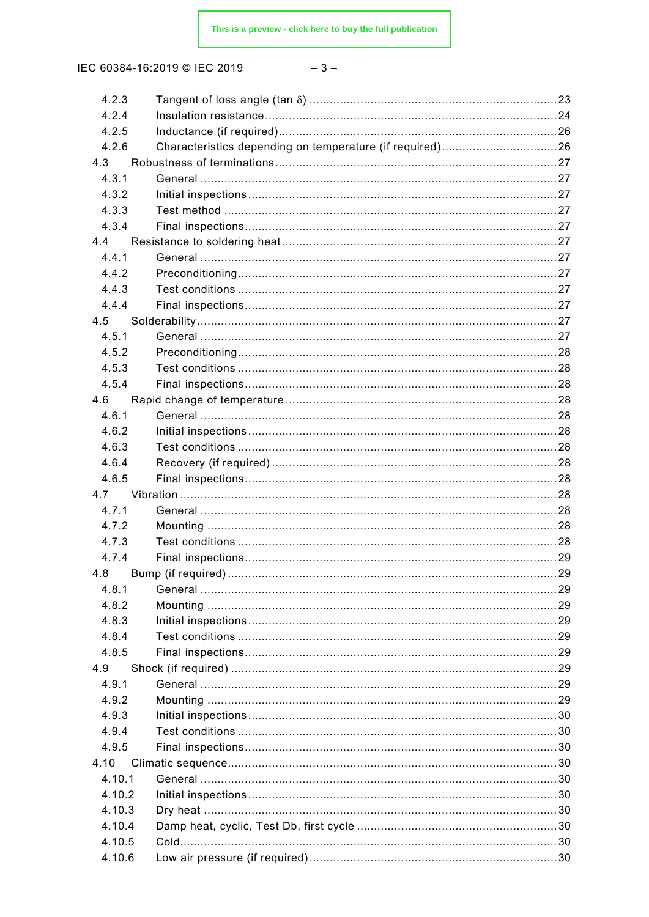IEC 60384-16:2019 © IEC 2019

| 4.2.3  |                                                          |    |
|--------|----------------------------------------------------------|----|
| 4.2.4  |                                                          |    |
| 4.2.5  |                                                          |    |
| 4.2.6  | Characteristics depending on temperature (if required)26 |    |
| 4.3    |                                                          |    |
| 4.3.1  |                                                          |    |
| 4.3.2  |                                                          |    |
| 4.3.3  |                                                          |    |
| 4.3.4  |                                                          |    |
| 4.4    |                                                          |    |
| 4.4.1  |                                                          |    |
| 4.4.2  |                                                          |    |
| 4.4.3  |                                                          |    |
| 4.4.4  |                                                          |    |
| 4.5    |                                                          |    |
| 4.5.1  |                                                          |    |
| 4.5.2  |                                                          |    |
| 4.5.3  |                                                          |    |
| 4.5.4  |                                                          |    |
| 4.6    |                                                          |    |
| 4.6.1  |                                                          |    |
| 4.6.2  |                                                          |    |
| 4.6.3  |                                                          |    |
| 4.6.4  |                                                          |    |
| 4.6.5  |                                                          |    |
| 4.7    |                                                          |    |
| 4.7.1  |                                                          |    |
| 4.7.2  |                                                          |    |
| 4.7.3  |                                                          |    |
| 4.7.4  |                                                          |    |
|        | 4.8 Bump (if required)                                   | 29 |
| 4.8.1  |                                                          |    |
| 4.8.2  |                                                          |    |
| 4.8.3  |                                                          |    |
| 4.8.4  |                                                          |    |
| 4.8.5  |                                                          |    |
| 4.9    |                                                          |    |
| 4.9.1  |                                                          |    |
| 4.9.2  |                                                          |    |
| 4.9.3  |                                                          |    |
| 4.9.4  |                                                          |    |
| 4.9.5  |                                                          |    |
| 4.10   |                                                          |    |
| 4.10.1 |                                                          |    |
| 4.10.2 |                                                          |    |
| 4.10.3 |                                                          |    |
| 4.10.4 |                                                          |    |
| 4.10.5 |                                                          |    |
| 4.10.6 |                                                          |    |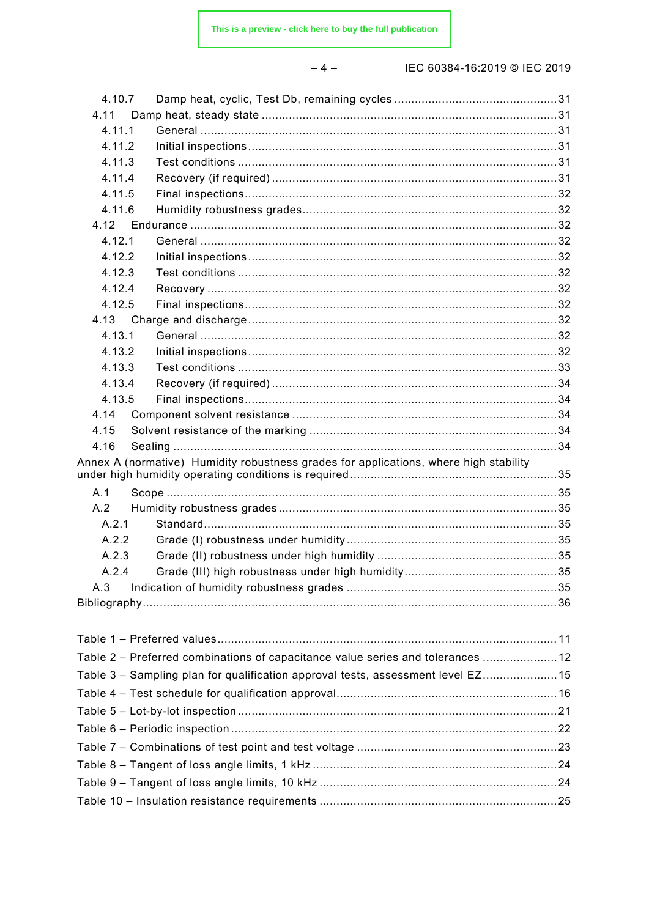#### $-4-$

IEC 60384-16:2019 © IEC 2019

| 4.10.7 |                                                                                       |  |
|--------|---------------------------------------------------------------------------------------|--|
| 4.11   |                                                                                       |  |
| 4.11.1 |                                                                                       |  |
| 4.11.2 |                                                                                       |  |
| 4.11.3 |                                                                                       |  |
| 4.11.4 |                                                                                       |  |
| 4.11.5 |                                                                                       |  |
| 4.11.6 |                                                                                       |  |
| 4.12   |                                                                                       |  |
| 4.12.1 |                                                                                       |  |
| 4.12.2 |                                                                                       |  |
| 4.12.3 |                                                                                       |  |
| 4.12.4 |                                                                                       |  |
| 4.12.5 |                                                                                       |  |
| 4.13   |                                                                                       |  |
| 4.13.1 |                                                                                       |  |
| 4.13.2 |                                                                                       |  |
| 4.13.3 |                                                                                       |  |
| 4.13.4 |                                                                                       |  |
| 4.13.5 |                                                                                       |  |
| 4.14   |                                                                                       |  |
| 4.15   |                                                                                       |  |
| 4.16   |                                                                                       |  |
|        |                                                                                       |  |
|        | Annex A (normative) Humidity robustness grades for applications, where high stability |  |
| A.1    |                                                                                       |  |
| A.2    |                                                                                       |  |
| A.2.1  |                                                                                       |  |
| A.2.2  |                                                                                       |  |
| A.2.3  |                                                                                       |  |
| A.2.4  |                                                                                       |  |
| A.3    |                                                                                       |  |
|        |                                                                                       |  |
|        |                                                                                       |  |
|        |                                                                                       |  |
|        |                                                                                       |  |
|        | Table 2 - Preferred combinations of capacitance value series and tolerances  12       |  |
|        | Table 3 - Sampling plan for qualification approval tests, assessment level EZ15       |  |
|        |                                                                                       |  |
|        |                                                                                       |  |
|        |                                                                                       |  |
|        |                                                                                       |  |
|        | Table 8 – Tangent of loss angle limits, 1 kHz ………………………………………………………………24              |  |
|        | Table 9 – Tangent of loss angle limits, 10 kHz ……………………………………………………………24              |  |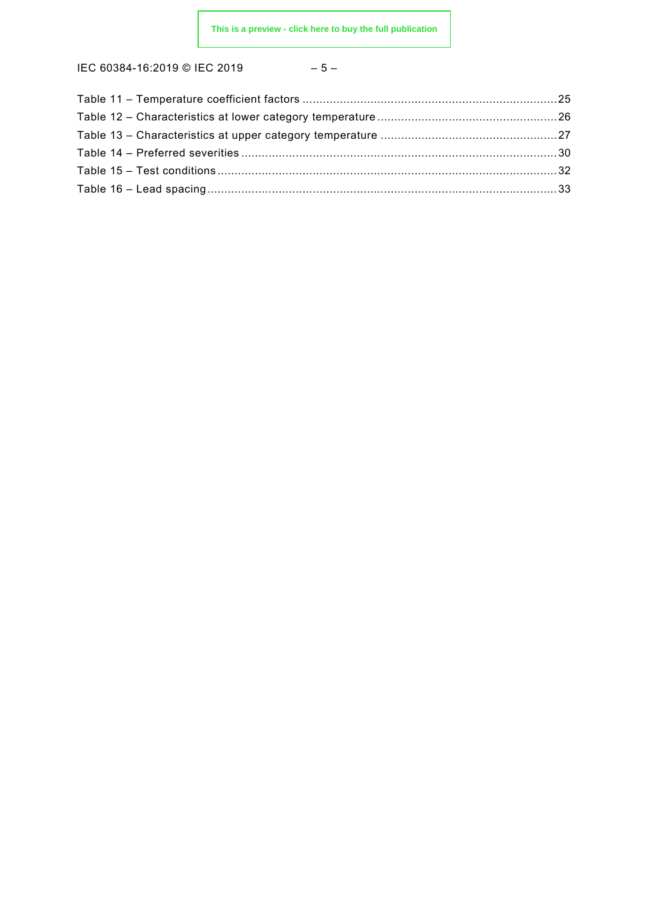IEC 60384-16:2019 © IEC 2019 – 5 –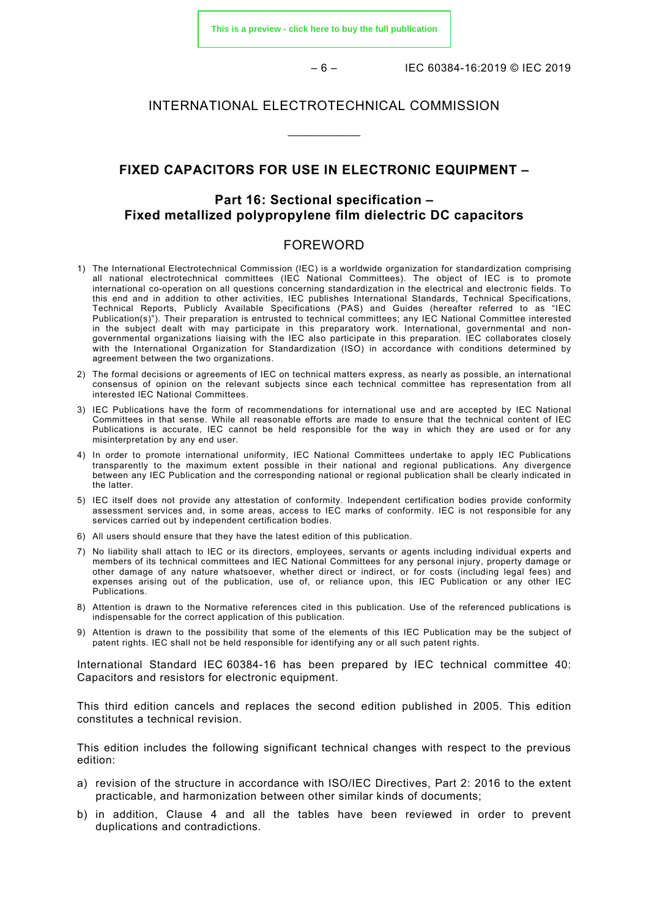**[This is a preview - click here to buy the full publication](https://webstore.iec.ch/publication/29103&preview)**

– 6 – IEC 60384-16:2019 © IEC 2019

# INTERNATIONAL ELECTROTECHNICAL COMMISSION

\_\_\_\_\_\_\_\_\_\_\_\_

# **FIXED CAPACITORS FOR USE IN ELECTRONIC EQUIPMENT –**

# **Part 16: Sectional specification – Fixed metallized polypropylene film dielectric DC capacitors**

### FOREWORD

- <span id="page-5-0"></span>1) The International Electrotechnical Commission (IEC) is a worldwide organization for standardization comprising all national electrotechnical committees (IEC National Committees). The object of IEC is to promote international co-operation on all questions concerning standardization in the electrical and electronic fields. To this end and in addition to other activities, IEC publishes International Standards, Technical Specifications, Technical Reports, Publicly Available Specifications (PAS) and Guides (hereafter referred to as "IEC Publication(s)"). Their preparation is entrusted to technical committees; any IEC National Committee interested in the subject dealt with may participate in this preparatory work. International, governmental and nongovernmental organizations liaising with the IEC also participate in this preparation. IEC collaborates closely with the International Organization for Standardization (ISO) in accordance with conditions determined by agreement between the two organizations.
- 2) The formal decisions or agreements of IEC on technical matters express, as nearly as possible, an international consensus of opinion on the relevant subjects since each technical committee has representation from all interested IEC National Committees.
- 3) IEC Publications have the form of recommendations for international use and are accepted by IEC National Committees in that sense. While all reasonable efforts are made to ensure that the technical content of IEC Publications is accurate, IEC cannot be held responsible for the way in which they are used or for any misinterpretation by any end user.
- 4) In order to promote international uniformity, IEC National Committees undertake to apply IEC Publications transparently to the maximum extent possible in their national and regional publications. Any divergence between any IEC Publication and the corresponding national or regional publication shall be clearly indicated in the latter.
- 5) IEC itself does not provide any attestation of conformity. Independent certification bodies provide conformity assessment services and, in some areas, access to IEC marks of conformity. IEC is not responsible for any services carried out by independent certification bodies.
- 6) All users should ensure that they have the latest edition of this publication.
- 7) No liability shall attach to IEC or its directors, employees, servants or agents including individual experts and members of its technical committees and IEC National Committees for any personal injury, property damage or other damage of any nature whatsoever, whether direct or indirect, or for costs (including legal fees) and expenses arising out of the publication, use of, or reliance upon, this IEC Publication or any other IEC Publications.
- 8) Attention is drawn to the Normative references cited in this publication. Use of the referenced publications is indispensable for the correct application of this publication.
- 9) Attention is drawn to the possibility that some of the elements of this IEC Publication may be the subject of patent rights. IEC shall not be held responsible for identifying any or all such patent rights.

International Standard IEC 60384-16 has been prepared by IEC technical committee 40: Capacitors and resistors for electronic equipment.

This third edition cancels and replaces the second edition published in 2005. This edition constitutes a technical revision.

This edition includes the following significant technical changes with respect to the previous edition:

- a) revision of the structure in accordance with ISO/IEC Directives, Part 2: 2016 to the extent practicable, and harmonization between other similar kinds of documents;
- b) in addition, Clause 4 and all the tables have been reviewed in order to prevent duplications and contradictions.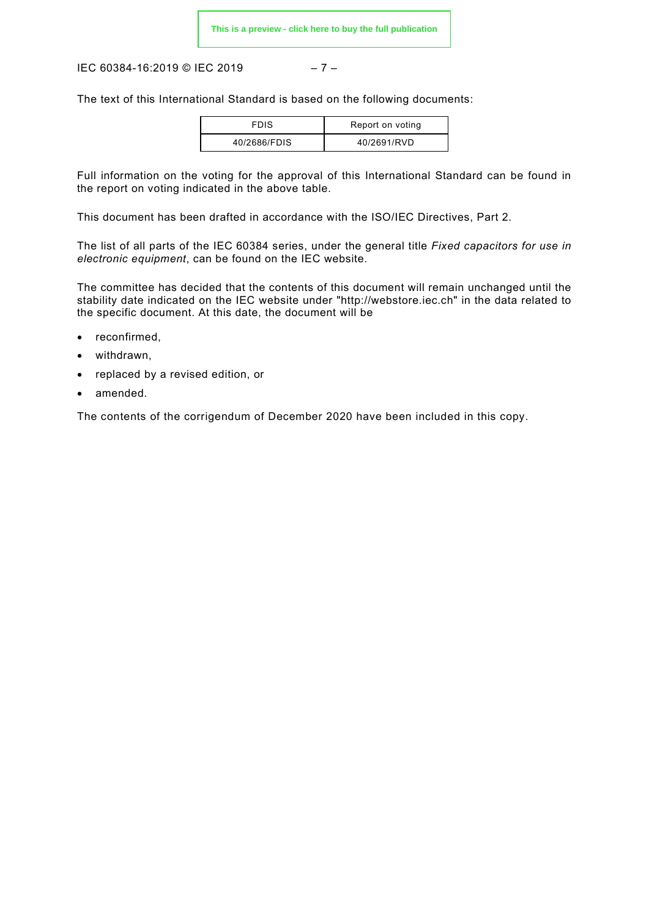IEC 60384-16:2019 © IEC 2019 – 7 –

The text of this International Standard is based on the following documents:

| <b>FDIS</b>  | Report on voting |
|--------------|------------------|
| 40/2686/FDIS | 40/2691/RVD      |

Full information on the voting for the approval of this International Standard can be found in the report on voting indicated in the above table.

This document has been drafted in accordance with the ISO/IEC Directives, Part 2.

The list of all parts of the IEC 60384 series, under the general title *Fixed capacitors for use in electronic equipment*, can be found on the IEC website.

The committee has decided that the contents of this document will remain unchanged until the stability date indicated on the IEC website under ["http://webstore.iec.ch"](http://webstore.iec.ch/) in the data related to the specific document. At this date, the document will be

- reconfirmed,
- withdrawn,
- replaced by a revised edition, or
- amended.

The contents of the corrigendum of December 2020 have been included in this copy.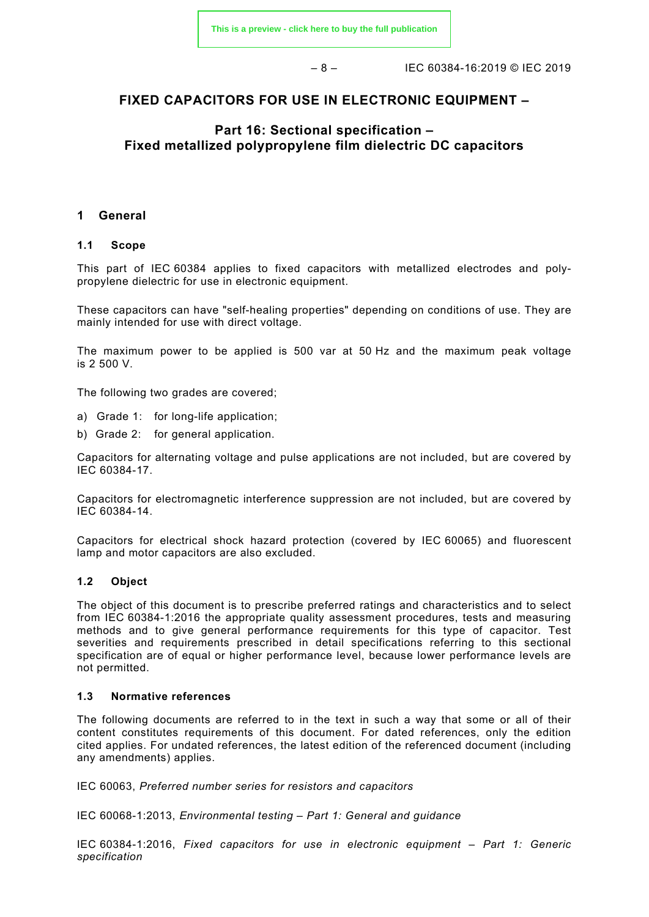$-8 - 1$  IEC 60384-16:2019 © IEC 2019

# **FIXED CAPACITORS FOR USE IN ELECTRONIC EQUIPMENT –**

# **Part 16: Sectional specification – Fixed metallized polypropylene film dielectric DC capacitors**

## <span id="page-7-0"></span>**1 General**

#### <span id="page-7-1"></span>**1.1 Scope**

This part of IEC 60384 applies to fixed capacitors with metallized electrodes and polypropylene dielectric for use in electronic equipment.

These capacitors can have "self-healing properties" depending on conditions of use. They are mainly intended for use with direct voltage.

The maximum power to be applied is 500 var at 50 Hz and the maximum peak voltage is 2 500 V.

The following two grades are covered;

- a) Grade 1: for long-life application;
- b) Grade 2: for general application.

Capacitors for alternating voltage and pulse applications are not included, but are covered by IEC 60384-17.

Capacitors for electromagnetic interference suppression are not included, but are covered by IEC 60384-14.

Capacitors for electrical shock hazard protection (covered by IEC 60065) and fluorescent lamp and motor capacitors are also excluded.

#### <span id="page-7-2"></span>**1.2 Object**

The object of this document is to prescribe preferred ratings and characteristics and to select from IEC 60384-1:2016 the appropriate quality assessment procedures, tests and measuring methods and to give general performance requirements for this type of capacitor. Test severities and requirements prescribed in detail specifications referring to this sectional specification are of equal or higher performance level, because lower performance levels are not permitted.

#### <span id="page-7-3"></span>**1.3 Normative references**

The following documents are referred to in the text in such a way that some or all of their content constitutes requirements of this document. For dated references, only the edition cited applies. For undated references, the latest edition of the referenced document (including any amendments) applies.

IEC 60063, *Preferred number series for resistors and capacitors*

IEC 60068-1:2013, *Environmental testing – Part 1: General and guidance*

IEC 60384-1:2016, *Fixed capacitors for use in electronic equipment – Part 1: Generic specification*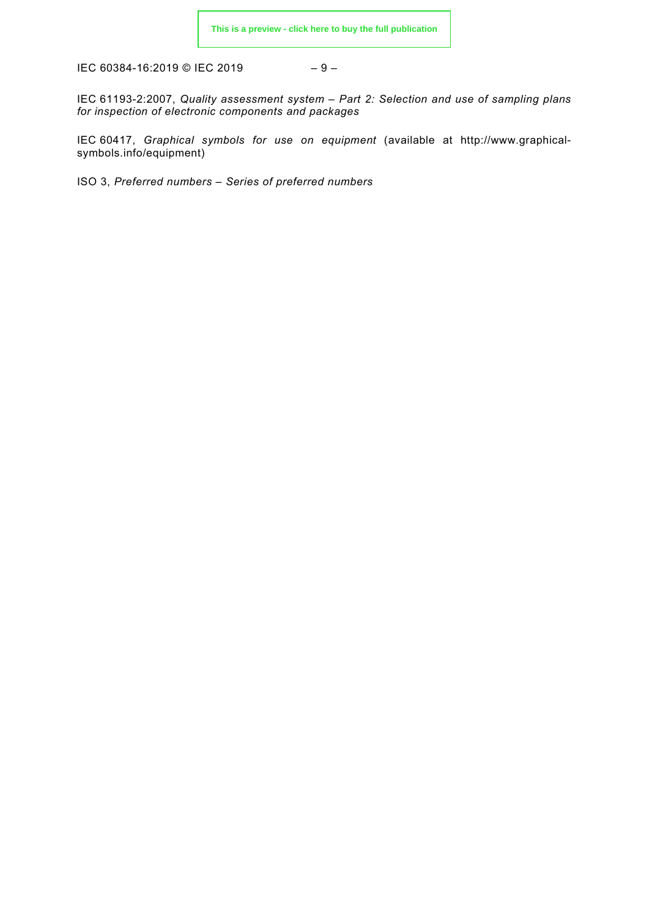IEC 60384-16:2019 © IEC 2019

$$
-9-
$$

IEC 61193-2:2007, *Quality assessment system – Part 2: Selection and use of sampling plans for inspection of electronic components and packages*

IEC 60417, *Graphical symbols for use on equipment* (available at [http://www.graphical](http://www.graphical-symbols.info/equipment)[symbols.info/equipment\)](http://www.graphical-symbols.info/equipment)

<span id="page-8-3"></span><span id="page-8-2"></span><span id="page-8-1"></span><span id="page-8-0"></span>ISO 3, *Preferred numbers – Series of preferred numbers*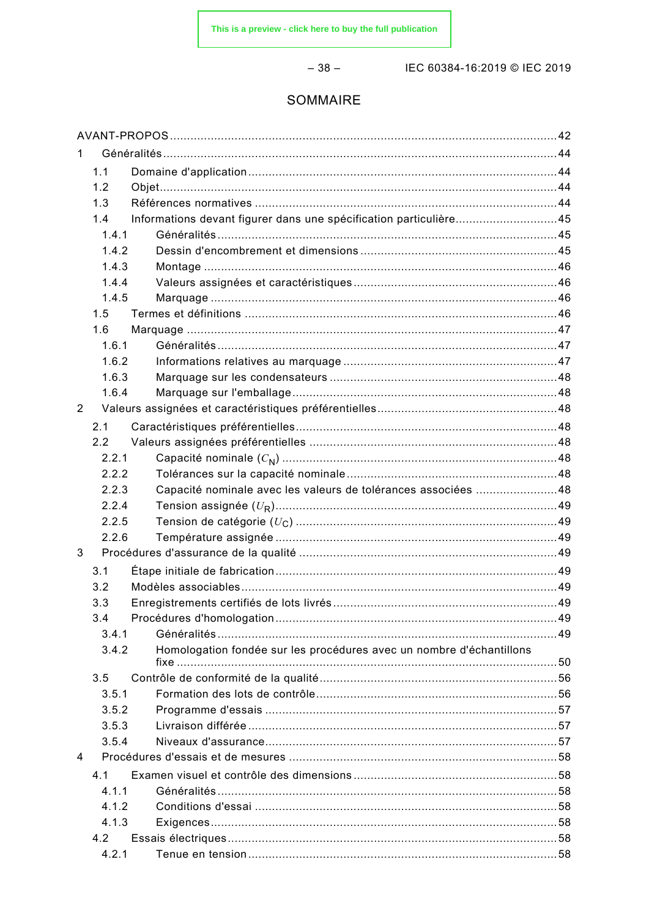$-38-$ 

IEC 60384-16:2019 © IEC 2019

# SOMMAIRE

| 1 |       |                                                                      |  |
|---|-------|----------------------------------------------------------------------|--|
|   | 1.1   |                                                                      |  |
|   | 1.2   |                                                                      |  |
|   | 1.3   |                                                                      |  |
|   | 1.4   | Informations devant figurer dans une spécification particulière45    |  |
|   | 1.4.1 |                                                                      |  |
|   | 1.4.2 |                                                                      |  |
|   | 1.4.3 |                                                                      |  |
|   | 1.4.4 |                                                                      |  |
|   | 1.4.5 |                                                                      |  |
|   | 1.5   |                                                                      |  |
|   | 1.6   |                                                                      |  |
|   | 1.6.1 |                                                                      |  |
|   | 1.6.2 |                                                                      |  |
|   | 1.6.3 |                                                                      |  |
|   | 1.6.4 |                                                                      |  |
| 2 |       |                                                                      |  |
|   | 2.1   |                                                                      |  |
|   | 2.2   |                                                                      |  |
|   | 2.2.1 |                                                                      |  |
|   | 2.2.2 |                                                                      |  |
|   | 2.2.3 | Capacité nominale avec les valeurs de tolérances associées 48        |  |
|   | 2.2.4 |                                                                      |  |
|   | 2.2.5 |                                                                      |  |
|   | 2.2.6 |                                                                      |  |
| 3 |       |                                                                      |  |
|   | 3.1   |                                                                      |  |
|   | 3.2   |                                                                      |  |
|   | 3.3   |                                                                      |  |
|   | 3.4   |                                                                      |  |
|   | 3.4.1 |                                                                      |  |
|   | 3.4.2 | Homologation fondée sur les procédures avec un nombre d'échantillons |  |
|   |       |                                                                      |  |
|   | 3.5   |                                                                      |  |
|   | 3.5.1 |                                                                      |  |
|   | 3.5.2 |                                                                      |  |
|   | 3.5.3 |                                                                      |  |
|   | 3.5.4 |                                                                      |  |
| 4 |       |                                                                      |  |
|   | 4.1   |                                                                      |  |
|   | 4.1.1 |                                                                      |  |
|   | 4.1.2 |                                                                      |  |
|   | 4.1.3 |                                                                      |  |
|   | 4.2   |                                                                      |  |
|   | 4.2.1 |                                                                      |  |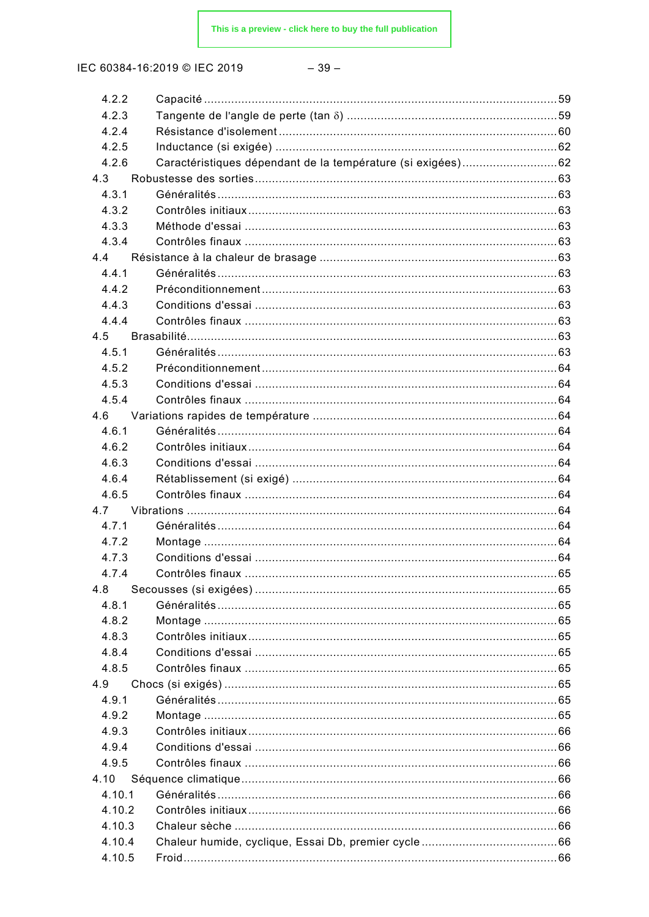IEC 60384-16:2019 © IEC 2019

| 4.2.2  |                                                             |  |
|--------|-------------------------------------------------------------|--|
| 4.2.3  |                                                             |  |
| 4.2.4  |                                                             |  |
| 4.2.5  |                                                             |  |
| 4.2.6  | Caractéristiques dépendant de la température (si exigées)62 |  |
| 4.3    |                                                             |  |
| 4.3.1  |                                                             |  |
| 4.3.2  |                                                             |  |
| 4.3.3  |                                                             |  |
| 4.3.4  |                                                             |  |
| 4.4    |                                                             |  |
| 4.4.1  |                                                             |  |
| 4.4.2  |                                                             |  |
| 4.4.3  |                                                             |  |
| 4.4.4  |                                                             |  |
| 4.5    |                                                             |  |
| 4.5.1  |                                                             |  |
| 4.5.2  |                                                             |  |
| 4.5.3  |                                                             |  |
| 4.5.4  |                                                             |  |
| 4.6    |                                                             |  |
| 4.6.1  |                                                             |  |
| 4.6.2  |                                                             |  |
| 4.6.3  |                                                             |  |
| 4.6.4  |                                                             |  |
| 4.6.5  |                                                             |  |
| 4.7    |                                                             |  |
| 4.7.1  |                                                             |  |
| 4.7.2  |                                                             |  |
| 4.7.3  |                                                             |  |
| 4.7.4  |                                                             |  |
| 4.8    |                                                             |  |
| 4.8.1  |                                                             |  |
| 4.8.2  |                                                             |  |
| 4.8.3  |                                                             |  |
| 4.8.4  |                                                             |  |
| 4.8.5  |                                                             |  |
| 4.9    |                                                             |  |
| 4.9.1  |                                                             |  |
| 4.9.2  |                                                             |  |
| 4.9.3  |                                                             |  |
| 4.9.4  |                                                             |  |
| 4.9.5  |                                                             |  |
| 4.10   |                                                             |  |
| 4.10.1 |                                                             |  |
| 4.10.2 |                                                             |  |
| 4.10.3 |                                                             |  |
| 4.10.4 |                                                             |  |
| 4.10.5 |                                                             |  |
|        |                                                             |  |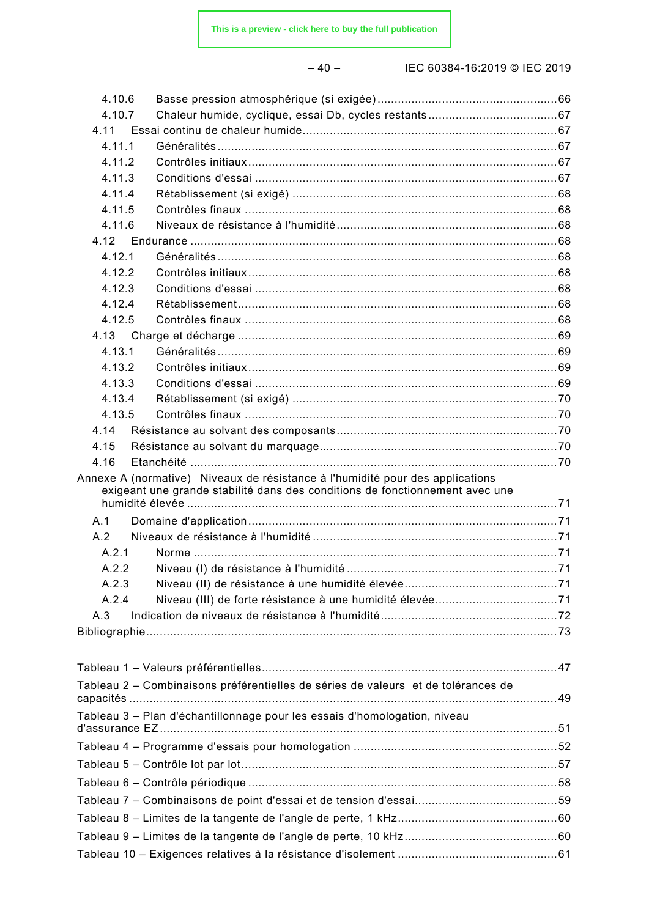| M.<br>۰. |  |
|----------|--|
|----------|--|

– 40 – IEC 60384-16:2019 © IEC 2019

| 4.10.6 |                                                                                   |  |
|--------|-----------------------------------------------------------------------------------|--|
| 4.10.7 |                                                                                   |  |
| 4.11   |                                                                                   |  |
| 4.11.1 |                                                                                   |  |
| 4.11.2 |                                                                                   |  |
| 4.11.3 |                                                                                   |  |
| 4.11.4 |                                                                                   |  |
| 4.11.5 |                                                                                   |  |
| 4.11.6 |                                                                                   |  |
| 4.12   |                                                                                   |  |
| 4.12.1 |                                                                                   |  |
| 4.12.2 |                                                                                   |  |
| 4.12.3 |                                                                                   |  |
| 4.12.4 |                                                                                   |  |
| 4.12.5 |                                                                                   |  |
| 4.13   |                                                                                   |  |
| 4.13.1 |                                                                                   |  |
| 4.13.2 |                                                                                   |  |
| 4.13.3 |                                                                                   |  |
| 4.13.4 |                                                                                   |  |
| 4.13.5 |                                                                                   |  |
| 4.14   |                                                                                   |  |
| 4.15   |                                                                                   |  |
| 4.16   |                                                                                   |  |
|        | Annexe A (normative) Niveaux de résistance à l'humidité pour des applications     |  |
|        | exigeant une grande stabilité dans des conditions de fonctionnement avec une      |  |
| A.1    |                                                                                   |  |
| A.2    |                                                                                   |  |
| A.2.1  |                                                                                   |  |
| A.2.2  |                                                                                   |  |
| A.2.3  |                                                                                   |  |
| A.2.4  |                                                                                   |  |
|        |                                                                                   |  |
| A.3    |                                                                                   |  |
|        |                                                                                   |  |
|        |                                                                                   |  |
|        |                                                                                   |  |
|        | Tableau 2 - Combinaisons préférentielles de séries de valeurs et de tolérances de |  |
|        |                                                                                   |  |
|        | Tableau 3 - Plan d'échantillonnage pour les essais d'homologation, niveau         |  |
|        |                                                                                   |  |
|        |                                                                                   |  |
|        |                                                                                   |  |
|        |                                                                                   |  |
|        |                                                                                   |  |
|        |                                                                                   |  |
|        |                                                                                   |  |
|        |                                                                                   |  |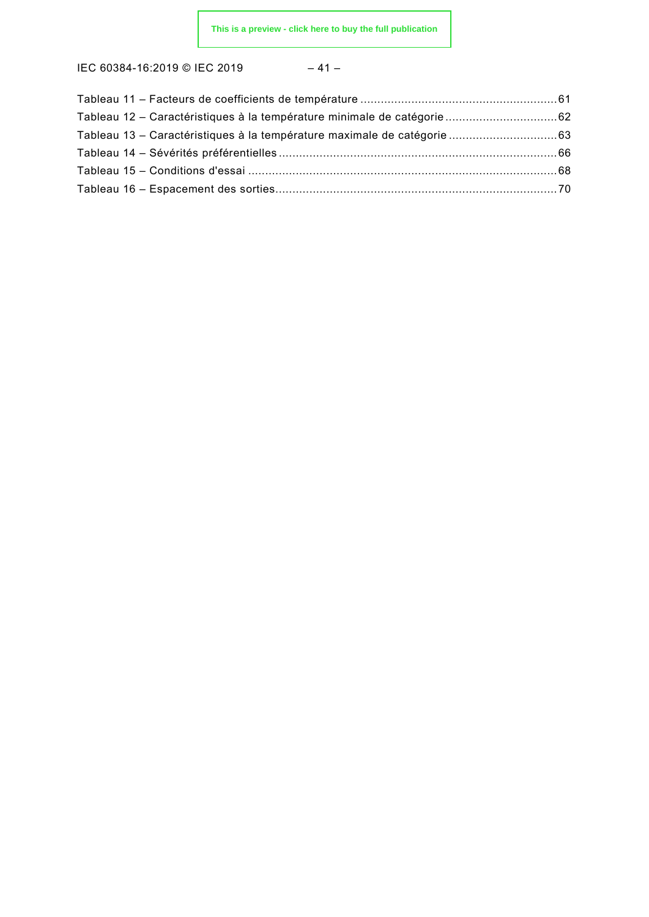IEC 60384-16:2019 © IEC 2019 – 41 –

| Tableau 12 – Caractéristiques à la température minimale de catégorie 62  |  |
|--------------------------------------------------------------------------|--|
| Tableau 13 – Caractéristiques à la température maximale de catégorie  63 |  |
|                                                                          |  |
|                                                                          |  |
|                                                                          |  |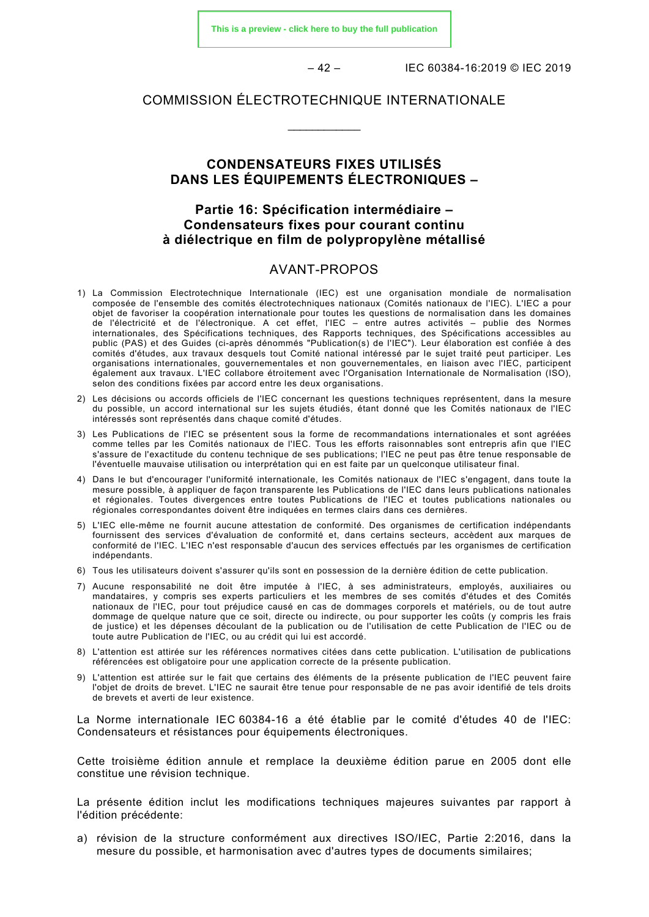**[This is a preview - click here to buy the full publication](https://webstore.iec.ch/publication/29103&preview)**

– 42 – IEC 60384-16:2019 © IEC 2019

# COMMISSION ÉLECTROTECHNIQUE INTERNATIONALE

\_\_\_\_\_\_\_\_\_\_\_\_

# **CONDENSATEURS FIXES UTILISÉS DANS LES ÉQUIPEMENTS ÉLECTRONIQUES –**

# **Partie 16: Spécification intermédiaire – Condensateurs fixes pour courant continu à diélectrique en film de polypropylène métallisé**

# AVANT-PROPOS

- <span id="page-13-0"></span>1) La Commission Electrotechnique Internationale (IEC) est une organisation mondiale de normalisation composée de l'ensemble des comités électrotechniques nationaux (Comités nationaux de l'IEC). L'IEC a pour objet de favoriser la coopération internationale pour toutes les questions de normalisation dans les domaines de l'électricité et de l'électronique. A cet effet, l'IEC – entre autres activités – publie des Normes internationales, des Spécifications techniques, des Rapports techniques, des Spécifications accessibles au public (PAS) et des Guides (ci-après dénommés "Publication(s) de l'IEC"). Leur élaboration est confiée à des comités d'études, aux travaux desquels tout Comité national intéressé par le sujet traité peut participer. Les organisations internationales, gouvernementales et non gouvernementales, en liaison avec l'IEC, participent également aux travaux. L'IEC collabore étroitement avec l'Organisation Internationale de Normalisation (ISO), selon des conditions fixées par accord entre les deux organisations.
- 2) Les décisions ou accords officiels de l'IEC concernant les questions techniques représentent, dans la mesure du possible, un accord international sur les sujets étudiés, étant donné que les Comités nationaux de l'IEC intéressés sont représentés dans chaque comité d'études.
- 3) Les Publications de l'IEC se présentent sous la forme de recommandations internationales et sont agréées comme telles par les Comités nationaux de l'IEC. Tous les efforts raisonnables sont entrepris afin que l'IEC s'assure de l'exactitude du contenu technique de ses publications; l'IEC ne peut pas être tenue responsable de l'éventuelle mauvaise utilisation ou interprétation qui en est faite par un quelconque utilisateur final.
- 4) Dans le but d'encourager l'uniformité internationale, les Comités nationaux de l'IEC s'engagent, dans toute la mesure possible, à appliquer de façon transparente les Publications de l'IEC dans leurs publications nationales et régionales. Toutes divergences entre toutes Publications de l'IEC et toutes publications nationales ou régionales correspondantes doivent être indiquées en termes clairs dans ces dernières.
- 5) L'IEC elle-même ne fournit aucune attestation de conformité. Des organismes de certification indépendants fournissent des services d'évaluation de conformité et, dans certains secteurs, accèdent aux marques de conformité de l'IEC. L'IEC n'est responsable d'aucun des services effectués par les organismes de certification indépendants.
- 6) Tous les utilisateurs doivent s'assurer qu'ils sont en possession de la dernière édition de cette publication.
- 7) Aucune responsabilité ne doit être imputée à l'IEC, à ses administrateurs, employés, auxiliaires ou mandataires, y compris ses experts particuliers et les membres de ses comités d'études et des Comités nationaux de l'IEC, pour tout préjudice causé en cas de dommages corporels et matériels, ou de tout autre dommage de quelque nature que ce soit, directe ou indirecte, ou pour supporter les coûts (y compris les frais de justice) et les dépenses découlant de la publication ou de l'utilisation de cette Publication de l'IEC ou de toute autre Publication de l'IEC, ou au crédit qui lui est accordé.
- 8) L'attention est attirée sur les références normatives citées dans cette publication. L'utilisation de publications référencées est obligatoire pour une application correcte de la présente publication.
- 9) L'attention est attirée sur le fait que certains des éléments de la présente publication de l'IEC peuvent faire l'objet de droits de brevet. L'IEC ne saurait être tenue pour responsable de ne pas avoir identifié de tels droits de brevets et averti de leur existence.

La Norme internationale IEC 60384-16 a été établie par le comité d'études 40 de l'IEC: Condensateurs et résistances pour équipements électroniques.

Cette troisième édition annule et remplace la deuxième édition parue en 2005 dont elle constitue une révision technique.

La présente édition inclut les modifications techniques majeures suivantes par rapport à l'édition précédente:

a) révision de la structure conformément aux directives ISO/IEC, Partie 2:2016, dans la mesure du possible, et harmonisation avec d'autres types de documents similaires;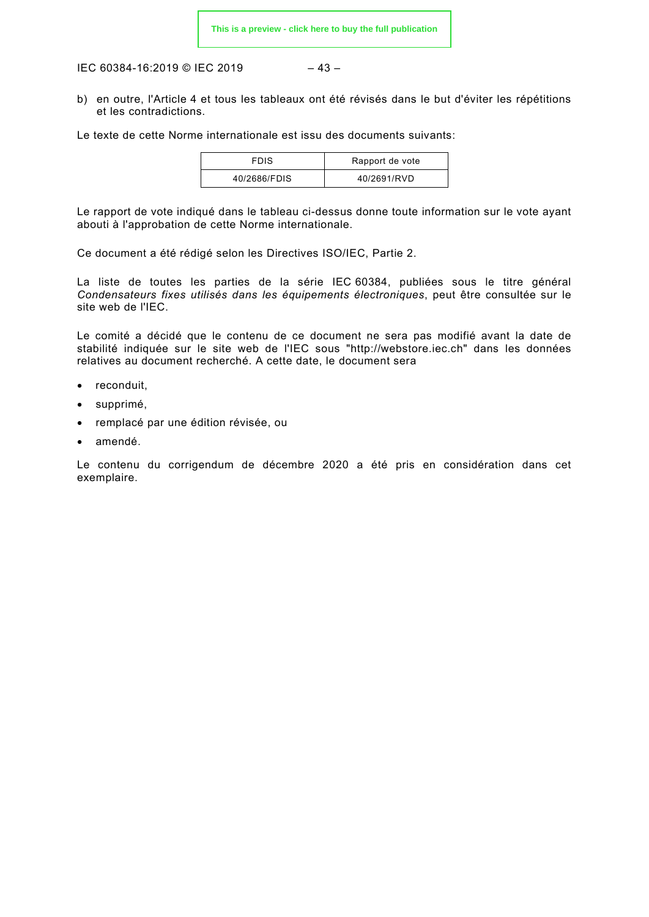IEC 60384-16:2019 © IEC 2019 – 43 –

b) en outre, l'Article 4 et tous les tableaux ont été révisés dans le but d'éviter les répétitions et les contradictions.

Le texte de cette Norme internationale est issu des documents suivants:

| <b>FDIS</b>  | Rapport de vote |
|--------------|-----------------|
| 40/2686/FDIS | 40/2691/RVD     |

Le rapport de vote indiqué dans le tableau ci-dessus donne toute information sur le vote ayant abouti à l'approbation de cette Norme internationale.

Ce document a été rédigé selon les Directives ISO/IEC, Partie 2.

La liste de toutes les parties de la série IEC 60384, publiées sous le titre général *Condensateurs fixes utilisés dans les équipements électroniques*, peut être consultée sur le site web de l'IEC.

Le comité a décidé que le contenu de ce document ne sera pas modifié avant la date de stabilité indiquée sur le site web de l'IEC sous "http://webstore.iec.ch" dans les données relatives au document recherché. A cette date, le document sera

- reconduit,
- supprimé,
- remplacé par une édition révisée, ou
- amendé.

Le contenu du corrigendum de décembre 2020 a été pris en considération dans cet exemplaire.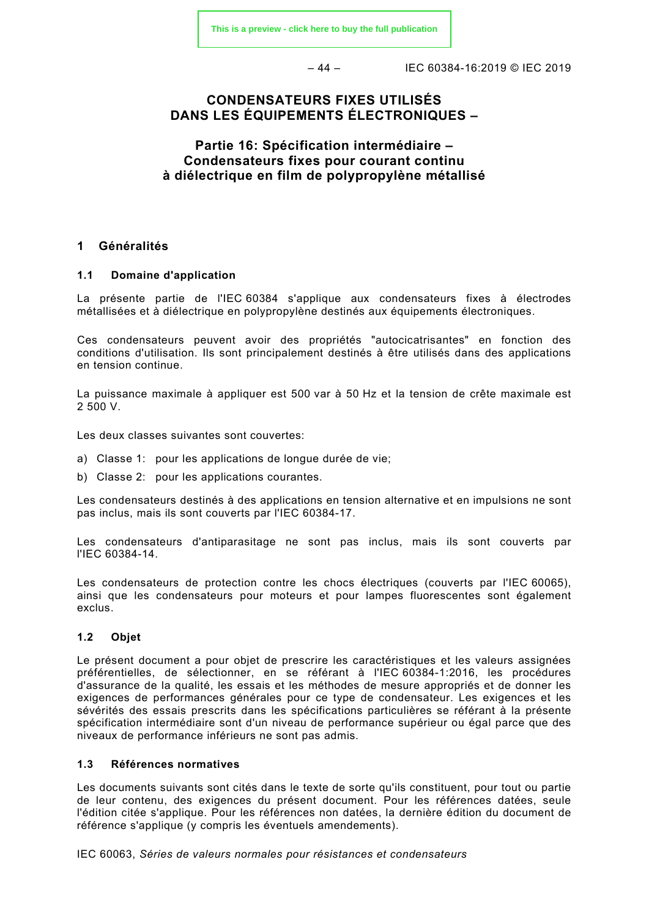– 44 – IEC 60384-16:2019 © IEC 2019

# **CONDENSATEURS FIXES UTILISÉS DANS LES ÉQUIPEMENTS ÉLECTRONIQUES –**

# **Partie 16: Spécification intermédiaire – Condensateurs fixes pour courant continu à diélectrique en film de polypropylène métallisé**

## <span id="page-15-0"></span>**1 Généralités**

#### <span id="page-15-1"></span>**1.1 Domaine d'application**

La présente partie de l'IEC 60384 s'applique aux condensateurs fixes à électrodes métallisées et à diélectrique en polypropylène destinés aux équipements électroniques.

Ces condensateurs peuvent avoir des propriétés "autocicatrisantes" en fonction des conditions d'utilisation. Ils sont principalement destinés à être utilisés dans des applications en tension continue.

La puissance maximale à appliquer est 500 var à 50 Hz et la tension de crête maximale est 2 500 V.

Les deux classes suivantes sont couvertes:

- a) Classe 1: pour les applications de longue durée de vie;
- b) Classe 2: pour les applications courantes.

Les condensateurs destinés à des applications en tension alternative et en impulsions ne sont pas inclus, mais ils sont couverts par l'IEC 60384-17.

Les condensateurs d'antiparasitage ne sont pas inclus, mais ils sont couverts par l'IEC 60384-14.

Les condensateurs de protection contre les chocs électriques (couverts par l'IEC 60065), ainsi que les condensateurs pour moteurs et pour lampes fluorescentes sont également exclus.

#### <span id="page-15-2"></span>**1.2 Objet**

Le présent document a pour objet de prescrire les caractéristiques et les valeurs assignées préférentielles, de sélectionner, en se référant à l'IEC 60384-1:2016, les procédures d'assurance de la qualité, les essais et les méthodes de mesure appropriés et de donner les exigences de performances générales pour ce type de condensateur. Les exigences et les sévérités des essais prescrits dans les spécifications particulières se référant à la présente spécification intermédiaire sont d'un niveau de performance supérieur ou égal parce que des niveaux de performance inférieurs ne sont pas admis.

#### <span id="page-15-3"></span>**1.3 Références normatives**

Les documents suivants sont cités dans le texte de sorte qu'ils constituent, pour tout ou partie de leur contenu, des exigences du présent document. Pour les références datées, seule l'édition citée s'applique. Pour les références non datées, la dernière édition du document de référence s'applique (y compris les éventuels amendements).

IEC 60063, *Séries de valeurs normales pour résistances et condensateurs*